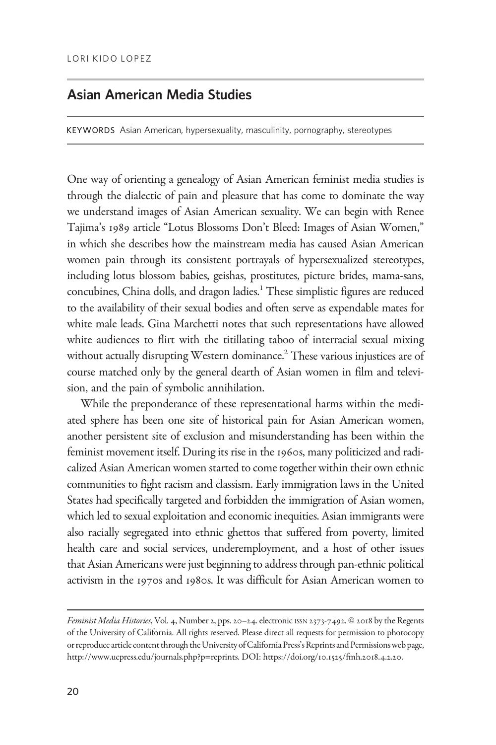## Asian American Media Studies

KEYWORDS Asian American, hypersexuality, masculinity, pornography, stereotypes

One way of orienting a genealogy of Asian American feminist media studies is through the dialectic of pain and pleasure that has come to dominate the way we understand images of Asian American sexuality. We can begin with Renee Tajima's 1989 article "Lotus Blossoms Don't Bleed: Images of Asian Women," in which she describes how the mainstream media has caused Asian American women pain through its consistent portrayals of hypersexualized stereotypes, including lotus blossom babies, geishas, prostitutes, picture brides, mama-sans, concubines, China dolls, and dragon ladies.<sup>1</sup> These simplistic figures are reduced to the availability of their sexual bodies and often serve as expendable mates for white male leads. Gina Marchetti notes that such representations have allowed white audiences to flirt with the titillating taboo of interracial sexual mixing without actually disrupting Western dominance.<sup>2</sup> These various injustices are of course matched only by the general dearth of Asian women in film and television, and the pain of symbolic annihilation.

While the preponderance of these representational harms within the mediated sphere has been one site of historical pain for Asian American women, another persistent site of exclusion and misunderstanding has been within the feminist movement itself. During its rise in the 1960s, many politicized and radicalized Asian American women started to come together within their own ethnic communities to fight racism and classism. Early immigration laws in the United States had specifically targeted and forbidden the immigration of Asian women, which led to sexual exploitation and economic inequities. Asian immigrants were also racially segregated into ethnic ghettos that suffered from poverty, limited health care and social services, underemployment, and a host of other issues that Asian Americans were just beginning to address through pan-ethnic political activism in the 1970s and 1980s. It was difficult for Asian American women to

Feminist Media Histories, Vol. 4, Number 2, pps. 20-24. electronic ISSN 2373-7492. © 2018 by the Regents of the University of California. All rights reserved. Please direct all requests for permission to photocopy or reproduce article content through the University of California Press's Reprints and Permissions web page, <http://www.ucpress.edu/journals.php?p=reprints>. DOI: [https://doi.org/](https://doi.org/10.1525/fmh.2018.4.2.20)10.1525/fmh.2018.4.2.20.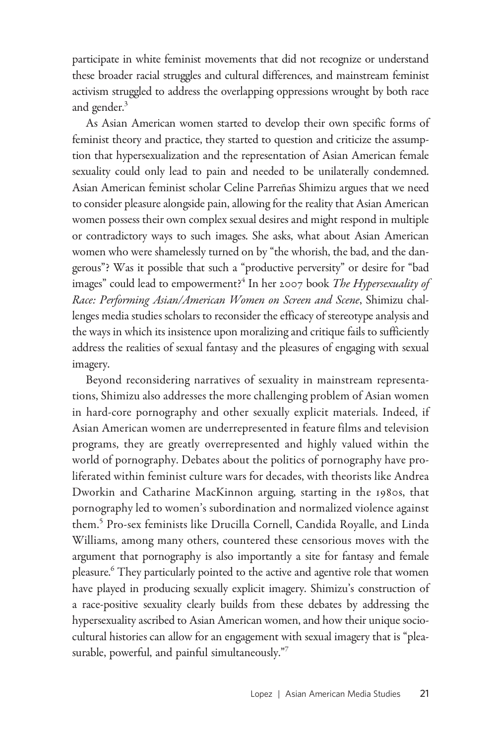participate in white feminist movements that did not recognize or understand these broader racial struggles and cultural differences, and mainstream feminist activism struggled to address the overlapping oppressions wrought by both race and gender.<sup>3</sup>

As Asian American women started to develop their own specific forms of feminist theory and practice, they started to question and criticize the assumption that hypersexualization and the representation of Asian American female sexuality could only lead to pain and needed to be unilaterally condemned. Asian American feminist scholar Celine Parreñas Shimizu argues that we need to consider pleasure alongside pain, allowing for the reality that Asian American women possess their own complex sexual desires and might respond in multiple or contradictory ways to such images. She asks, what about Asian American women who were shamelessly turned on by "the whorish, the bad, and the dangerous"? Was it possible that such a "productive perversity" or desire for "bad images" could lead to empowerment?<sup>4</sup> In her 2007 book The Hypersexuality of Race: Performing Asian/American Women on Screen and Scene, Shimizu challenges media studies scholars to reconsider the efficacy of stereotype analysis and the ways in which its insistence upon moralizing and critique fails to sufficiently address the realities of sexual fantasy and the pleasures of engaging with sexual imagery.

Beyond reconsidering narratives of sexuality in mainstream representations, Shimizu also addresses the more challenging problem of Asian women in hard-core pornography and other sexually explicit materials. Indeed, if Asian American women are underrepresented in feature films and television programs, they are greatly overrepresented and highly valued within the world of pornography. Debates about the politics of pornography have proliferated within feminist culture wars for decades, with theorists like Andrea Dworkin and Catharine MacKinnon arguing, starting in the 1980s, that pornography led to women's subordination and normalized violence against them.<sup>5</sup> Pro-sex feminists like Drucilla Cornell, Candida Royalle, and Linda Williams, among many others, countered these censorious moves with the argument that pornography is also importantly a site for fantasy and female pleasure.<sup>6</sup> They particularly pointed to the active and agentive role that women have played in producing sexually explicit imagery. Shimizu's construction of a race-positive sexuality clearly builds from these debates by addressing the hypersexuality ascribed to Asian American women, and how their unique sociocultural histories can allow for an engagement with sexual imagery that is "pleasurable, powerful, and painful simultaneously."7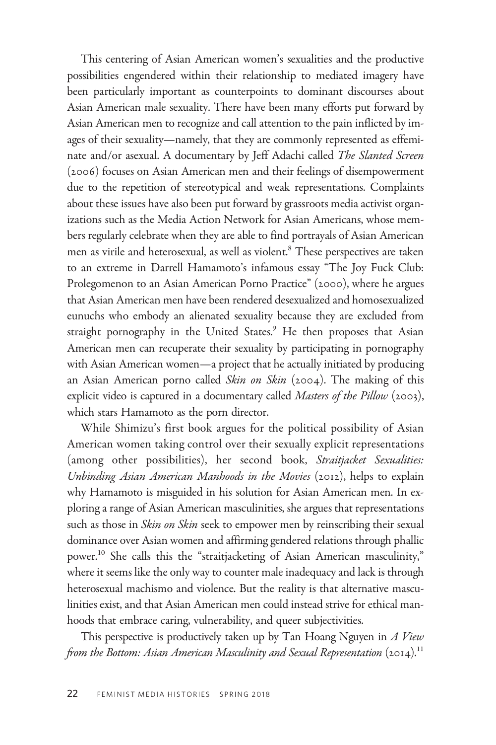This centering of Asian American women's sexualities and the productive possibilities engendered within their relationship to mediated imagery have been particularly important as counterpoints to dominant discourses about Asian American male sexuality. There have been many efforts put forward by Asian American men to recognize and call attention to the pain inflicted by images of their sexuality—namely, that they are commonly represented as effeminate and/or asexual. A documentary by Jeff Adachi called The Slanted Screen  $(2006)$  focuses on Asian American men and their feelings of disempowerment due to the repetition of stereotypical and weak representations. Complaints about these issues have also been put forward by grassroots media activist organizations such as the Media Action Network for Asian Americans, whose members regularly celebrate when they are able to find portrayals of Asian American men as virile and heterosexual, as well as violent.8 These perspectives are taken to an extreme in Darrell Hamamoto's infamous essay "The Joy Fuck Club: Prolegomenon to an Asian American Porno Practice" (2000), where he argues that Asian American men have been rendered desexualized and homosexualized eunuchs who embody an alienated sexuality because they are excluded from straight pornography in the United States.<sup>9</sup> He then proposes that Asian American men can recuperate their sexuality by participating in pornography with Asian American women—a project that he actually initiated by producing an Asian American porno called *Skin on Skin* (2004). The making of this explicit video is captured in a documentary called *Masters of the Pillow* (2003), which stars Hamamoto as the porn director.

While Shimizu's first book argues for the political possibility of Asian American women taking control over their sexually explicit representations (among other possibilities), her second book, Straitjacket Sexualities: Unbinding Asian American Manhoods in the Movies (2012), helps to explain why Hamamoto is misguided in his solution for Asian American men. In exploring a range of Asian American masculinities, she argues that representations such as those in *Skin on Skin* seek to empower men by reinscribing their sexual dominance over Asian women and affirming gendered relations through phallic power.10 She calls this the "straitjacketing of Asian American masculinity," where it seems like the only way to counter male inadequacy and lack is through heterosexual machismo and violence. But the reality is that alternative masculinities exist, and that Asian American men could instead strive for ethical manhoods that embrace caring, vulnerability, and queer subjectivities.

This perspective is productively taken up by Tan Hoang Nguyen in A View from the Bottom: Asian American Masculinity and Sexual Representation  $(2014).$ <sup>11</sup>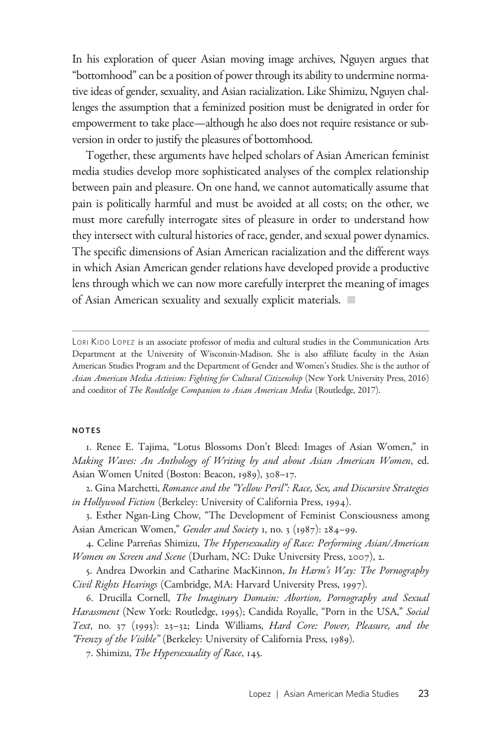In his exploration of queer Asian moving image archives, Nguyen argues that "bottomhood"can be a position of power through its ability to undermine normative ideas of gender, sexuality, and Asian racialization. Like Shimizu, Nguyen challenges the assumption that a feminized position must be denigrated in order for empowerment to take place—although he also does not require resistance or subversion in order to justify the pleasures of bottomhood.

Together, these arguments have helped scholars of Asian American feminist media studies develop more sophisticated analyses of the complex relationship between pain and pleasure. On one hand, we cannot automatically assume that pain is politically harmful and must be avoided at all costs; on the other, we must more carefully interrogate sites of pleasure in order to understand how they intersect with cultural histories of race, gender, and sexual power dynamics. The specific dimensions of Asian American racialization and the different ways in which Asian American gender relations have developed provide a productive lens through which we can now more carefully interpret the meaning of images of Asian American sexuality and sexually explicit materials.

LORI KIDO LOPEZ is an associate professor of media and cultural studies in the Communication Arts Department at the University of Wisconsin-Madison. She is also affiliate faculty in the Asian American Studies Program and the Department of Gender and Women's Studies. She is the author of Asian American Media Activism: Fighting for Cultural Citizenship (New York University Press, 2016) and coeditor of The Routledge Companion to Asian American Media (Routledge, 2017).

## NOTES

. Renee E. Tajima, "Lotus Blossoms Don't Bleed: Images of Asian Women," in Making Waves: An Anthology of Writing by and about Asian American Women, ed. Asian Women United (Boston: Beacon, 1989), 308-17.

. Gina Marchetti, Romance and the "Yellow Peril": Race, Sex, and Discursive Strategies in Hollywood Fiction (Berkeley: University of California Press, 1994).

. Esther Ngan-Ling Chow, "The Development of Feminist Consciousness among Asian American Women," *Gender and Society* 1, no. 3 (1987): 284–99.

4. Celine Parreñas Shimizu, The Hypersexuality of Race: Performing Asian/American Women on Screen and Scene (Durham, NC: Duke University Press, 2007), 2.

5. Andrea Dworkin and Catharine MacKinnon, In Harm's Way: The Pornography Civil Rights Hearings (Cambridge, MA: Harvard University Press, 1997).

. Drucilla Cornell, The Imaginary Domain: Abortion, Pornography and Sexual Harassment (New York: Routledge, 1995); Candida Royalle, "Porn in the USA," Social Text, no.  $37$  (1993):  $23-32$ ; Linda Williams, Hard Core: Power, Pleasure, and the "Frenzy of the Visible" (Berkeley: University of California Press, 1989).

7. Shimizu, The Hypersexuality of Race, 145.